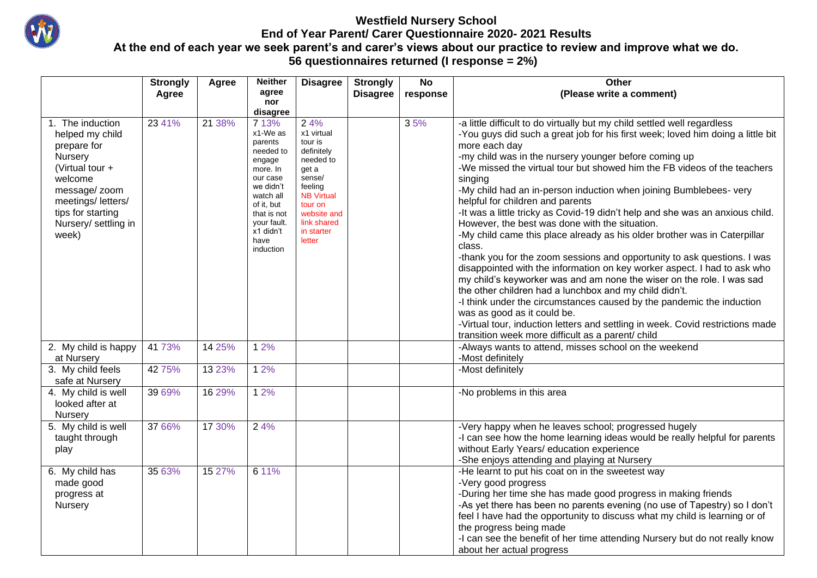

## **Westfield Nursery School End of Year Parent/ Carer Questionnaire 2020- 2021 Results At the end of each year we seek parent's and carer's views about our practice to review and improve what we do. 56 questionnaires returned (I response = 2%)**

|                                                                                                                                                                                         | <b>Strongly</b> | Agree  | <b>Neither</b>                                                                                                                                                                                  | <b>Disagree</b>                                                                                                                                                             | <b>Strongly</b> | <b>No</b> | Other                                                                                                                                                                                                                                                                                                                                                                                                                                                                                                                                                                                                                                                                                                                                                                                                                                                                                                                                                                                                                                                                                                                                                                                                      |
|-----------------------------------------------------------------------------------------------------------------------------------------------------------------------------------------|-----------------|--------|-------------------------------------------------------------------------------------------------------------------------------------------------------------------------------------------------|-----------------------------------------------------------------------------------------------------------------------------------------------------------------------------|-----------------|-----------|------------------------------------------------------------------------------------------------------------------------------------------------------------------------------------------------------------------------------------------------------------------------------------------------------------------------------------------------------------------------------------------------------------------------------------------------------------------------------------------------------------------------------------------------------------------------------------------------------------------------------------------------------------------------------------------------------------------------------------------------------------------------------------------------------------------------------------------------------------------------------------------------------------------------------------------------------------------------------------------------------------------------------------------------------------------------------------------------------------------------------------------------------------------------------------------------------------|
|                                                                                                                                                                                         | Agree           |        | agree                                                                                                                                                                                           |                                                                                                                                                                             | <b>Disagree</b> | response  | (Please write a comment)                                                                                                                                                                                                                                                                                                                                                                                                                                                                                                                                                                                                                                                                                                                                                                                                                                                                                                                                                                                                                                                                                                                                                                                   |
|                                                                                                                                                                                         |                 |        | nor                                                                                                                                                                                             |                                                                                                                                                                             |                 |           |                                                                                                                                                                                                                                                                                                                                                                                                                                                                                                                                                                                                                                                                                                                                                                                                                                                                                                                                                                                                                                                                                                                                                                                                            |
| 1. The induction<br>helped my child<br>prepare for<br>Nursery<br>(Virtual tour +<br>welcome<br>message/ zoom<br>meetings/letters/<br>tips for starting<br>Nursery/ settling in<br>week) | 23 41%          | 21 38% | disagree<br>7 13%<br>x1-We as<br>parents<br>needed to<br>engage<br>more. In<br>our case<br>we didn't<br>watch all<br>of it, but<br>that is not<br>your fault.<br>x1 didn't<br>have<br>induction | 24%<br>x1 virtual<br>tour is<br>definitely<br>needed to<br>get a<br>sense/<br>feeling<br><b>NB Virtual</b><br>tour on<br>website and<br>link shared<br>in starter<br>letter |                 | 35%       | -a little difficult to do virtually but my child settled well regardless<br>-You guys did such a great job for his first week; loved him doing a little bit<br>more each day<br>-my child was in the nursery younger before coming up<br>-We missed the virtual tour but showed him the FB videos of the teachers<br>singing<br>-My child had an in-person induction when joining Bumblebees- very<br>helpful for children and parents<br>-It was a little tricky as Covid-19 didn't help and she was an anxious child.<br>However, the best was done with the situation.<br>-My child came this place already as his older brother was in Caterpillar<br>class.<br>-thank you for the zoom sessions and opportunity to ask questions. I was<br>disappointed with the information on key worker aspect. I had to ask who<br>my child's keyworker was and am none the wiser on the role. I was sad<br>the other children had a lunchbox and my child didn't.<br>-I think under the circumstances caused by the pandemic the induction<br>was as good as it could be.<br>-Virtual tour, induction letters and settling in week. Covid restrictions made<br>transition week more difficult as a parent/ child |
| 2. My child is happy<br>at Nursery                                                                                                                                                      | 41 73%          | 14 25% | 1 2%                                                                                                                                                                                            |                                                                                                                                                                             |                 |           | -Always wants to attend, misses school on the weekend<br>-Most definitely                                                                                                                                                                                                                                                                                                                                                                                                                                                                                                                                                                                                                                                                                                                                                                                                                                                                                                                                                                                                                                                                                                                                  |
| 3. My child feels<br>safe at Nursery                                                                                                                                                    | 42 75%          | 13 23% | 1 2%                                                                                                                                                                                            |                                                                                                                                                                             |                 |           | -Most definitely                                                                                                                                                                                                                                                                                                                                                                                                                                                                                                                                                                                                                                                                                                                                                                                                                                                                                                                                                                                                                                                                                                                                                                                           |
| 4. My child is well<br>looked after at<br>Nursery                                                                                                                                       | 39 69%          | 16 29% | 1 2%                                                                                                                                                                                            |                                                                                                                                                                             |                 |           | -No problems in this area                                                                                                                                                                                                                                                                                                                                                                                                                                                                                                                                                                                                                                                                                                                                                                                                                                                                                                                                                                                                                                                                                                                                                                                  |
| 5. My child is well<br>taught through<br>play                                                                                                                                           | 37 66%          | 17 30% | 2 4%                                                                                                                                                                                            |                                                                                                                                                                             |                 |           | -Very happy when he leaves school; progressed hugely<br>-I can see how the home learning ideas would be really helpful for parents<br>without Early Years/ education experience<br>-She enjoys attending and playing at Nursery                                                                                                                                                                                                                                                                                                                                                                                                                                                                                                                                                                                                                                                                                                                                                                                                                                                                                                                                                                            |
| 6. My child has<br>made good<br>progress at<br>Nursery                                                                                                                                  | 35 63%          | 15 27% | 6 11%                                                                                                                                                                                           |                                                                                                                                                                             |                 |           | -He learnt to put his coat on in the sweetest way<br>-Very good progress<br>-During her time she has made good progress in making friends<br>-As yet there has been no parents evening (no use of Tapestry) so I don't<br>feel I have had the opportunity to discuss what my child is learning or of<br>the progress being made<br>-I can see the benefit of her time attending Nursery but do not really know<br>about her actual progress                                                                                                                                                                                                                                                                                                                                                                                                                                                                                                                                                                                                                                                                                                                                                                |